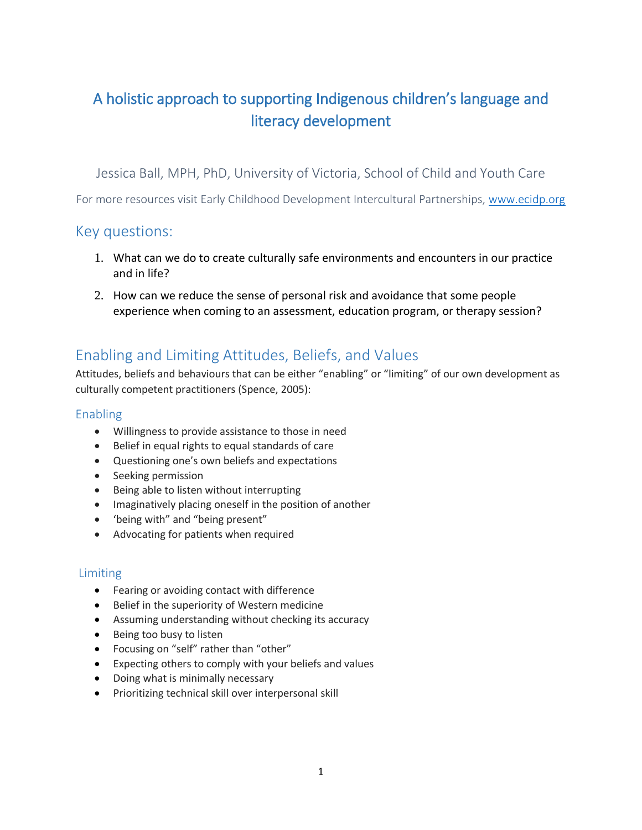# A holistic approach to supporting Indigenous children's language and literacy development

Jessica Ball, MPH, PhD, University of Victoria, School of Child and Youth Care

For more resources visit Early Childhood Development Intercultural Partnerships, [www.ecidp.org](http://www.ecidp.org/)

### Key questions:

- 1. What can we do to create culturally safe environments and encounters in our practice and in life?
- 2. How can we reduce the sense of personal risk and avoidance that some people experience when coming to an assessment, education program, or therapy session?

### Enabling and Limiting Attitudes, Beliefs, and Values

Attitudes, beliefs and behaviours that can be either "enabling" or "limiting" of our own development as culturally competent practitioners (Spence, 2005):

#### Enabling

- Willingness to provide assistance to those in need
- Belief in equal rights to equal standards of care
- Questioning one's own beliefs and expectations
- Seeking permission
- Being able to listen without interrupting
- Imaginatively placing oneself in the position of another
- 'being with" and "being present"
- Advocating for patients when required

#### Limiting

- Fearing or avoiding contact with difference
- **•** Belief in the superiority of Western medicine
- Assuming understanding without checking its accuracy
- Being too busy to listen
- Focusing on "self" rather than "other"
- Expecting others to comply with your beliefs and values
- Doing what is minimally necessary
- Prioritizing technical skill over interpersonal skill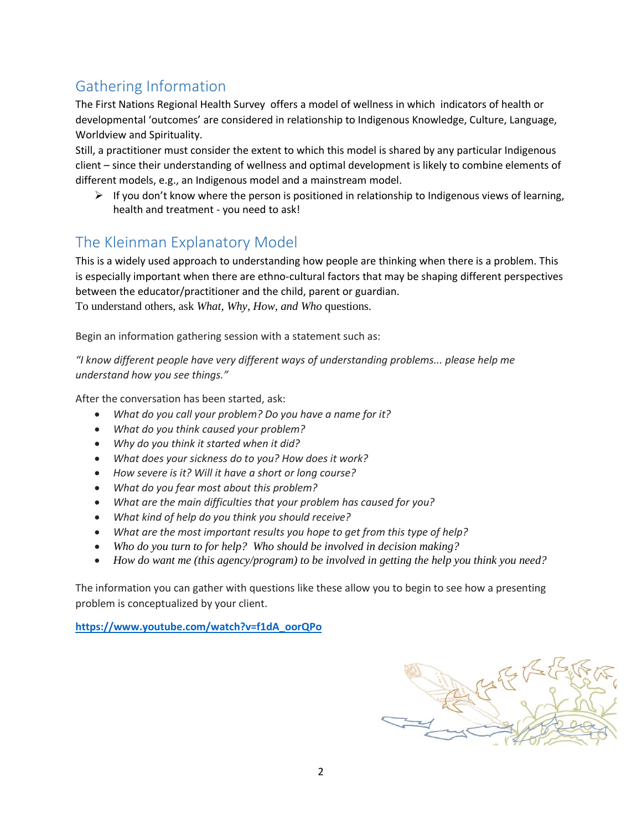## Gathering Information

The First Nations Regional Health Survey offers a model of wellness in which indicators of health or developmental 'outcomes' are considered in relationship to Indigenous Knowledge, Culture, Language, Worldview and Spirituality.

Still, a practitioner must consider the extent to which this model is shared by any particular Indigenous client – since their understanding of wellness and optimal development is likely to combine elements of different models, e.g., an Indigenous model and a mainstream model.

 $\triangleright$  If you don't know where the person is positioned in relationship to Indigenous views of learning, health and treatment - you need to ask!

### The Kleinman Explanatory Model

This is a widely used approach to understanding how people are thinking when there is a problem. This is especially important when there are ethno-cultural factors that may be shaping different perspectives between the educator/practitioner and the child, parent or guardian. To understand others, ask *What, Why, How, and Who* questions.

Begin an information gathering session with a statement such as:

*"I know different people have very different ways of understanding problems... please help me understand how you see things."* 

After the conversation has been started, ask:

- *What do you call your problem? Do you have a name for it?*
- *What do you think caused your problem?*
- *Why do you think it started when it did?*
- *What does your sickness do to you? How does it work?*
- *How severe is it? Will it have a short or long course?*
- *What do you fear most about this problem?*
- *What are the main difficulties that your problem has caused for you?*
- *What kind of help do you think you should receive?*
- *What are the most important results you hope to get from this type of help?*
- *Who do you turn to for help? Who should be involved in decision making?*
- *How do want me (this agency/program) to be involved in getting the help you think you need?*

The information you can gather with questions like these allow you to begin to see how a presenting problem is conceptualized by your client.

**[https://www.youtube.com/watch?v=f1dA\\_oorQPo](https://www.youtube.com/watch?v=f1dA_oorQPo)**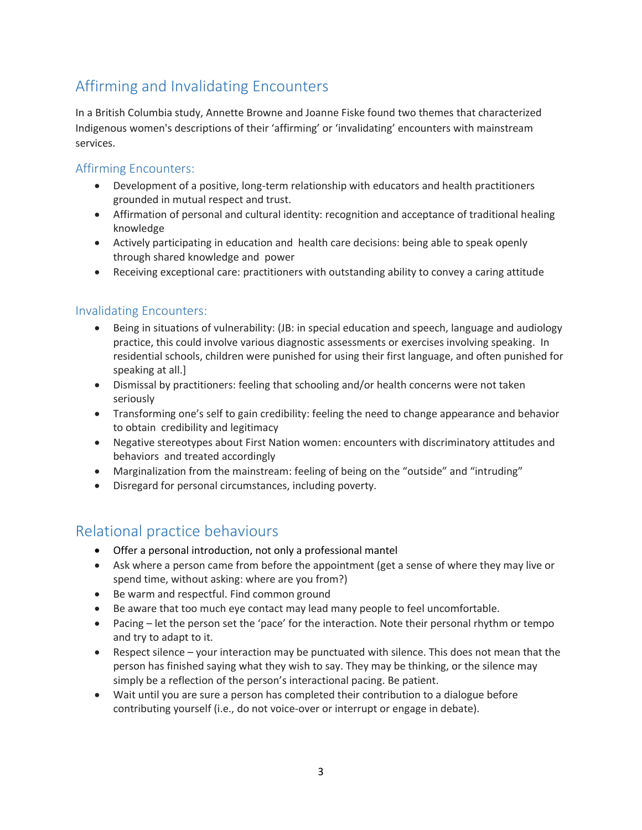## Affirming and Invalidating Encounters

In a British Columbia study, Annette Browne and Joanne Fiske found two themes that characterized Indigenous women's descriptions of their 'affirming' or 'invalidating' encounters with mainstream services.

#### Affirming Encounters:

- Development of a positive, long-term relationship with educators and health practitioners grounded in mutual respect and trust.
- Affirmation of personal and cultural identity: recognition and acceptance of traditional healing knowledge
- Actively participating in education and health care decisions: being able to speak openly through shared knowledge and power
- Receiving exceptional care: practitioners with outstanding ability to convey a caring attitude

#### Invalidating Encounters:

- Being in situations of vulnerability: (JB: in special education and speech, language and audiology practice, this could involve various diagnostic assessments or exercises involving speaking. In residential schools, children were punished for using their first language, and often punished for speaking at all.]
- Dismissal by practitioners: feeling that schooling and/or health concerns were not taken seriously
- Transforming one's self to gain credibility: feeling the need to change appearance and behavior to obtain credibility and legitimacy
- Negative stereotypes about First Nation women: encounters with discriminatory attitudes and behaviors and treated accordingly
- Marginalization from the mainstream: feeling of being on the "outside" and "intruding"
- Disregard for personal circumstances, including poverty.

### Relational practice behaviours

- Offer a personal introduction, not only a professional mantel
- Ask where a person came from before the appointment (get a sense of where they may live or spend time, without asking: where are you from?)
- Be warm and respectful. Find common ground
- Be aware that too much eye contact may lead many people to feel uncomfortable.
- Pacing let the person set the 'pace' for the interaction. Note their personal rhythm or tempo and try to adapt to it.
- Respect silence your interaction may be punctuated with silence. This does not mean that the person has finished saying what they wish to say. They may be thinking, or the silence may simply be a reflection of the person's interactional pacing. Be patient.
- Wait until you are sure a person has completed their contribution to a dialogue before contributing yourself (i.e., do not voice-over or interrupt or engage in debate).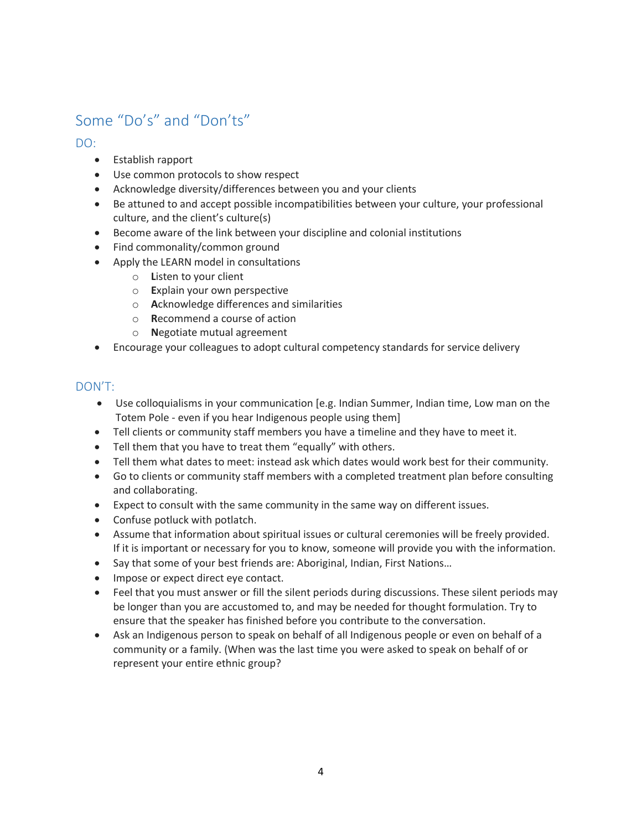## Some "Do's" and "Don'ts"

DO:

- Establish rapport
- Use common protocols to show respect
- Acknowledge diversity/differences between you and your clients
- Be attuned to and accept possible incompatibilities between your culture, your professional culture, and the client's culture(s)
- Become aware of the link between your discipline and colonial institutions
- Find commonality/common ground
- Apply the LEARN model in consultations
	- o **L**isten to your client
	- o **E**xplain your own perspective
	- o **A**cknowledge differences and similarities
	- o **R**ecommend a course of action
	- o **N**egotiate mutual agreement
- Encourage your colleagues to adopt cultural competency standards for service delivery

#### DON'T:

- Use colloquialisms in your communication [e.g. Indian Summer, Indian time, Low man on the Totem Pole - even if you hear Indigenous people using them]
- Tell clients or community staff members you have a timeline and they have to meet it.
- Tell them that you have to treat them "equally" with others.
- Tell them what dates to meet: instead ask which dates would work best for their community.
- Go to clients or community staff members with a completed treatment plan before consulting and collaborating.
- Expect to consult with the same community in the same way on different issues.
- Confuse potluck with potlatch.
- Assume that information about spiritual issues or cultural ceremonies will be freely provided. If it is important or necessary for you to know, someone will provide you with the information.
- Say that some of your best friends are: Aboriginal, Indian, First Nations...
- Impose or expect direct eye contact.
- Feel that you must answer or fill the silent periods during discussions. These silent periods may be longer than you are accustomed to, and may be needed for thought formulation. Try to ensure that the speaker has finished before you contribute to the conversation.
- Ask an Indigenous person to speak on behalf of all Indigenous people or even on behalf of a community or a family. (When was the last time you were asked to speak on behalf of or represent your entire ethnic group?